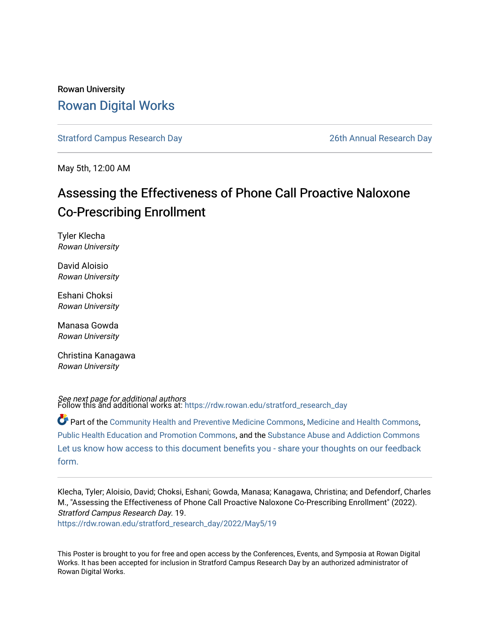### Rowan University [Rowan Digital Works](https://rdw.rowan.edu/)

[Stratford Campus Research Day](https://rdw.rowan.edu/stratford_research_day) [26th Annual Research Day](https://rdw.rowan.edu/stratford_research_day/2022) 

May 5th, 12:00 AM

### Assessing the Effectiveness of Phone Call Proactive Naloxone Co-Prescribing Enrollment

Tyler Klecha Rowan University

David Aloisio Rowan University

Eshani Choksi Rowan University

Manasa Gowda Rowan University

Christina Kanagawa Rowan University

**See next page for additional authors**<br>Follow this and additional works at: [https://rdw.rowan.edu/stratford\\_research\\_day](https://rdw.rowan.edu/stratford_research_day?utm_source=rdw.rowan.edu%2Fstratford_research_day%2F2022%2FMay5%2F19&utm_medium=PDF&utm_campaign=PDFCoverPages)

Part of the [Community Health and Preventive Medicine Commons](https://network.bepress.com/hgg/discipline/744?utm_source=rdw.rowan.edu%2Fstratford_research_day%2F2022%2FMay5%2F19&utm_medium=PDF&utm_campaign=PDFCoverPages), [Medicine and Health Commons,](https://network.bepress.com/hgg/discipline/422?utm_source=rdw.rowan.edu%2Fstratford_research_day%2F2022%2FMay5%2F19&utm_medium=PDF&utm_campaign=PDFCoverPages) [Public Health Education and Promotion Commons,](https://network.bepress.com/hgg/discipline/743?utm_source=rdw.rowan.edu%2Fstratford_research_day%2F2022%2FMay5%2F19&utm_medium=PDF&utm_campaign=PDFCoverPages) and the [Substance Abuse and Addiction Commons](https://network.bepress.com/hgg/discipline/710?utm_source=rdw.rowan.edu%2Fstratford_research_day%2F2022%2FMay5%2F19&utm_medium=PDF&utm_campaign=PDFCoverPages)  [Let us know how access to this document benefits you - share your thoughts on our feedback](https://www.lib.rowan.edu/rdw-feedback?ref=https://rdw.rowan.edu/stratford_research_day/2022/May5/19) [form.](https://www.lib.rowan.edu/rdw-feedback?ref=https://rdw.rowan.edu/stratford_research_day/2022/May5/19)

Klecha, Tyler; Aloisio, David; Choksi, Eshani; Gowda, Manasa; Kanagawa, Christina; and Defendorf, Charles M., "Assessing the Effectiveness of Phone Call Proactive Naloxone Co-Prescribing Enrollment" (2022). Stratford Campus Research Day. 19. [https://rdw.rowan.edu/stratford\\_research\\_day/2022/May5/19](https://rdw.rowan.edu/stratford_research_day/2022/May5/19?utm_source=rdw.rowan.edu%2Fstratford_research_day%2F2022%2FMay5%2F19&utm_medium=PDF&utm_campaign=PDFCoverPages) 

This Poster is brought to you for free and open access by the Conferences, Events, and Symposia at Rowan Digital Works. It has been accepted for inclusion in Stratford Campus Research Day by an authorized administrator of Rowan Digital Works.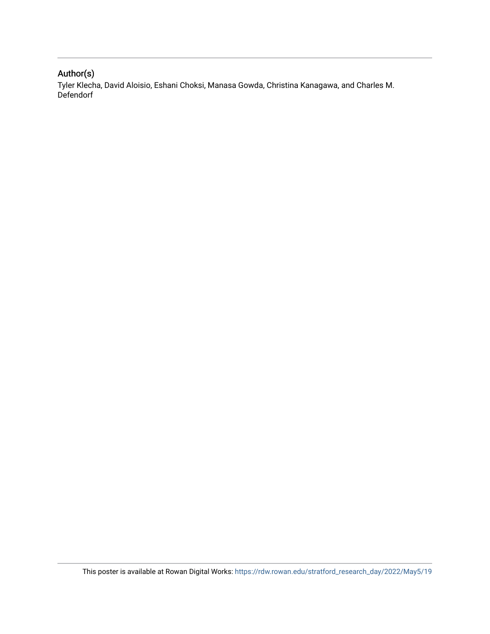### Author(s)

Tyler Klecha, David Aloisio, Eshani Choksi, Manasa Gowda, Christina Kanagawa, and Charles M. Defendorf